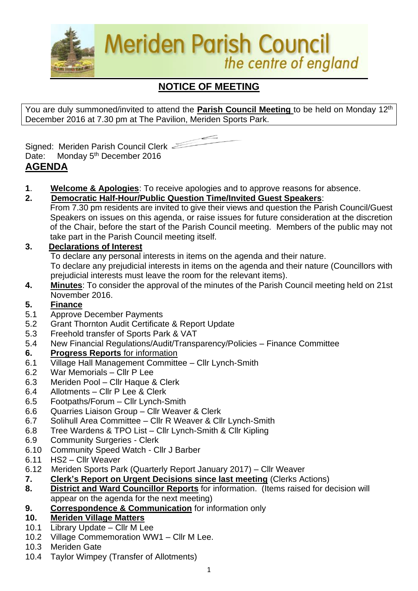

# **NOTICE OF MEETING**

You are duly summoned/invited to attend the **Parish Council Meeting** to be held on Monday 12th December 2016 at 7.30 pm at The Pavilion, Meriden Sports Park.



Signed: Meriden Parish Council Clerk Date: Monday 5<sup>th</sup> December 2016

- **AGENDA**
- **1**. **Welcome & Apologies**: To receive apologies and to approve reasons for absence.
- **2. Democratic Half-Hour/Public Question Time/Invited Guest Speakers**:
	- From 7.30 pm residents are invited to give their views and question the Parish Council/Guest Speakers on issues on this agenda, or raise issues for future consideration at the discretion of the Chair, before the start of the Parish Council meeting. Members of the public may not take part in the Parish Council meeting itself.

# **3. Declarations of Interest**

To declare any personal interests in items on the agenda and their nature.

To declare any prejudicial interests in items on the agenda and their nature (Councillors with prejudicial interests must leave the room for the relevant items).

**4. Minutes**: To consider the approval of the minutes of the Parish Council meeting held on 21st November 2016.

# **5. Finance**

- 5.1 Approve December Payments
- 5.2 Grant Thornton Audit Certificate & Report Update
- 5.3 Freehold transfer of Sports Park & VAT
- 5.4 New Financial Regulations/Audit/Transparency/Policies Finance Committee

# **6. Progress Reports** for information

- 6.1 Village Hall Management Committee Cllr Lynch-Smith
- 6.2 War Memorials Cllr P Lee
- 6.3 Meriden Pool Cllr Haque & Clerk
- 6.4 Allotments Cllr P Lee & Clerk
- 6.5 Footpaths/Forum Cllr Lynch-Smith
- 6.6 Quarries Liaison Group Cllr Weaver & Clerk
- 6.7 Solihull Area Committee Cllr R Weaver & Cllr Lynch-Smith
- 6.8 Tree Wardens & TPO List Cllr Lynch-Smith & Cllr Kipling
- 6.9 Community Surgeries Clerk
- 6.10 Community Speed Watch Cllr J Barber
- 6.11 HS2 Cllr Weaver
- 6.12Meriden Sports Park (Quarterly Report January 2017) Cllr Weaver
- **7. Clerk's Report on Urgent Decisions since last meeting** (Clerks Actions)
- **8. District and Ward Councillor Reports** for information. (Items raised for decision will appear on the agenda for the next meeting)
- **9. Correspondence & Communication** for information only

# **10. Meriden Village Matters**

- 10.1 Library Update Cllr M Lee
- 10.2 Village Commemoration WW1 Cllr M Lee.
- 10.3 Meriden Gate
- 10.4 Taylor Wimpey (Transfer of Allotments)